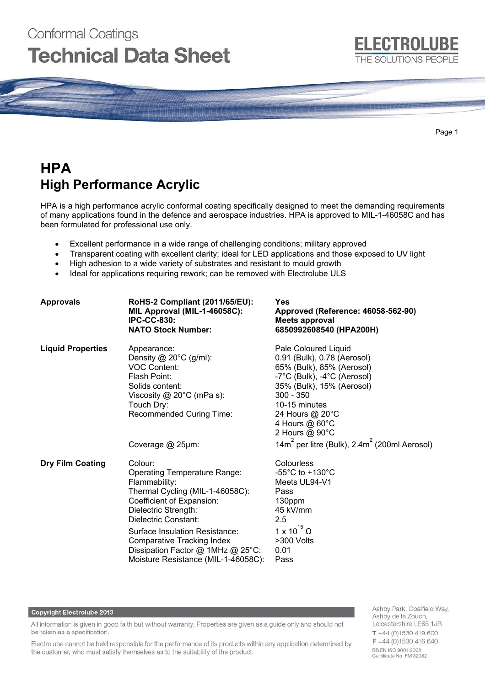# **Conformal Coatings Technical Data Sheet**



Page 1

# **HPA High Performance Acrylic**

HPA is a high performance acrylic conformal coating specifically designed to meet the demanding requirements of many applications found in the defence and aerospace industries. HPA is approved to MIL-1-46058C and has been formulated for professional use only.

- Excellent performance in a wide range of challenging conditions; military approved
- Transparent coating with excellent clarity; ideal for LED applications and those exposed to UV light
- High adhesion to a wide variety of substrates and resistant to mould growth
- Ideal for applications requiring rework; can be removed with Electrolube ULS

| <b>Approvals</b>         | RoHS-2 Compliant (2011/65/EU):<br>MIL Approval (MIL-1-46058C):<br><b>IPC-CC-830:</b><br><b>NATO Stock Number:</b>                                                                                                                                                                                                                  | Yes<br>Approved (Reference: 46058-562-90)<br><b>Meets approval</b><br>6850992608540 (HPA200H)                                                                                                                                       |
|--------------------------|------------------------------------------------------------------------------------------------------------------------------------------------------------------------------------------------------------------------------------------------------------------------------------------------------------------------------------|-------------------------------------------------------------------------------------------------------------------------------------------------------------------------------------------------------------------------------------|
| <b>Liquid Properties</b> | Appearance:<br>Density $@$ 20 $°C$ (g/ml):<br><b>VOC Content:</b><br>Flash Point:<br>Solids content:<br>Viscosity $@$ 20 $°C$ (mPa s):<br>Touch Dry:<br>Recommended Curing Time:                                                                                                                                                   | Pale Coloured Liquid<br>0.91 (Bulk), 0.78 (Aerosol)<br>65% (Bulk), 85% (Aerosol)<br>-7°C (Bulk), -4°C (Aerosol)<br>35% (Bulk), 15% (Aerosol)<br>$300 - 350$<br>10-15 minutes<br>24 Hours @ 20°C<br>4 Hours @ 60°C<br>2 Hours @ 90°C |
|                          | Coverage @ 25µm:                                                                                                                                                                                                                                                                                                                   | $14m2$ per litre (Bulk), $2.4m2$ (200ml Aerosol)                                                                                                                                                                                    |
| <b>Dry Film Coating</b>  | Colour:<br><b>Operating Temperature Range:</b><br>Flammability:<br>Thermal Cycling (MIL-1-46058C):<br>Coefficient of Expansion:<br>Dielectric Strength:<br>Dielectric Constant:<br>Surface Insulation Resistance:<br><b>Comparative Tracking Index</b><br>Dissipation Factor @ 1MHz @ 25°C:<br>Moisture Resistance (MIL-1-46058C): | Colourless<br>-55 $^{\circ}$ C to +130 $^{\circ}$ C<br>Meets UL94-V1<br>Pass<br>130ppm<br>45 kV/mm<br>$2.5\,$<br>1 x 10 <sup>15</sup> Ω<br>>300 Volts<br>0.01<br>Pass                                                               |

#### Copyright Electrolube 2013

All information is given in good faith but without warranty. Properties are given as a guide only and should not be taken as a specification.

Electrolube cannot be held responsible for the performance of its products within any application determined by the customer, who must satisfy themselves as to the suitability of the product.

Ashby Park, Coalfield Way, Ashby de la Zouch, Leicestershire LE65 1JR  $T + 44(0)1530419600$ F +44 (0)1530 416 640 BS EN ISO 9001:2008 Certificate No. FM 32082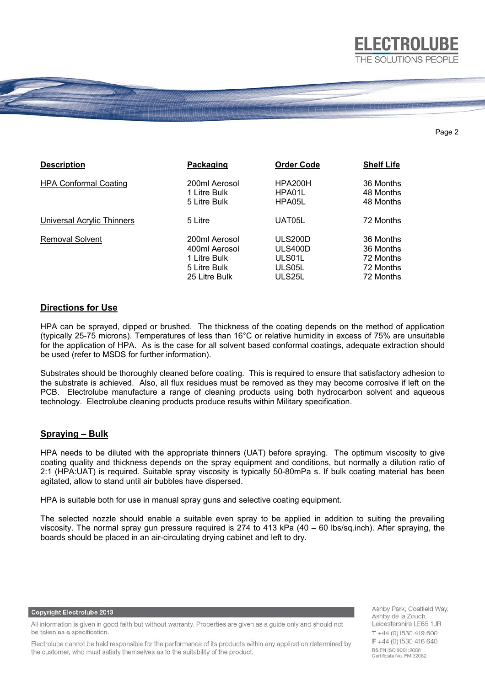

#### Page 2

| <b>Description</b>           | Packaging     | <b>Order Code</b> | <b>Shelf Life</b> |
|------------------------------|---------------|-------------------|-------------------|
| <b>HPA Conformal Coating</b> | 200ml Aerosol | HPA200H           | 36 Months         |
|                              | 1 Litre Bulk  | HPA01L            | 48 Months         |
|                              | 5 Litre Bulk  | HPA05L            | 48 Months         |
| Universal Acrylic Thinners   | 5 Litre       | UAT05L            | 72 Months         |
| <b>Removal Solvent</b>       | 200ml Aerosol | <b>ULS200D</b>    | 36 Months         |
|                              | 400ml Aerosol | ULS400D           | 36 Months         |
|                              | 1 Litre Bulk  | ULS01L            | 72 Months         |
|                              | 5 Litre Bulk  | ULS05L            | 72 Months         |
|                              | 25 Litre Bulk | ULS25L            | 72 Months         |

## **Directions for Use**

HPA can be sprayed, dipped or brushed. The thickness of the coating depends on the method of application (typically 25-75 microns). Temperatures of less than 16°C or relative humidity in excess of 75% are unsuitable for the application of HPA. As is the case for all solvent based conformal coatings, adequate extraction should be used (refer to MSDS for further information).

Substrates should be thoroughly cleaned before coating. This is required to ensure that satisfactory adhesion to the substrate is achieved. Also, all flux residues must be removed as they may become corrosive if left on the PCB. Electrolube manufacture a range of cleaning products using both hydrocarbon solvent and aqueous technology. Electrolube cleaning products produce results within Military specification.

## **Spraying – Bulk**

HPA needs to be diluted with the appropriate thinners (UAT) before spraying. The optimum viscosity to give coating quality and thickness depends on the spray equipment and conditions, but normally a dilution ratio of 2:1 (HPA:UAT) is required. Suitable spray viscosity is typically 50-80mPa s. If bulk coating material has been agitated, allow to stand until air bubbles have dispersed.

HPA is suitable both for use in manual spray guns and selective coating equipment.

The selected nozzle should enable a suitable even spray to be applied in addition to suiting the prevailing viscosity. The normal spray gun pressure required is 274 to 413 kPa (40 – 60 lbs/sq.inch). After spraying, the boards should be placed in an air-circulating drying cabinet and left to dry.

**Copyright Electrolube 2013** 

All information is given in good faith but without warranty. Properties are given as a guide only and should not be taken as a specification.

Electrolube cannot be held responsible for the performance of its products within any application determined by the customer, who must satisfy themselves as to the suitability of the product.

Ashby Park, Coalfield Way, Ashby de la Zouch. Leicestershire LE65 1JR  $T + 44(0)1530419600$  $F + 44(0)1530416640$ BS EN ISO 9001:2008 Certificate No. FM 32082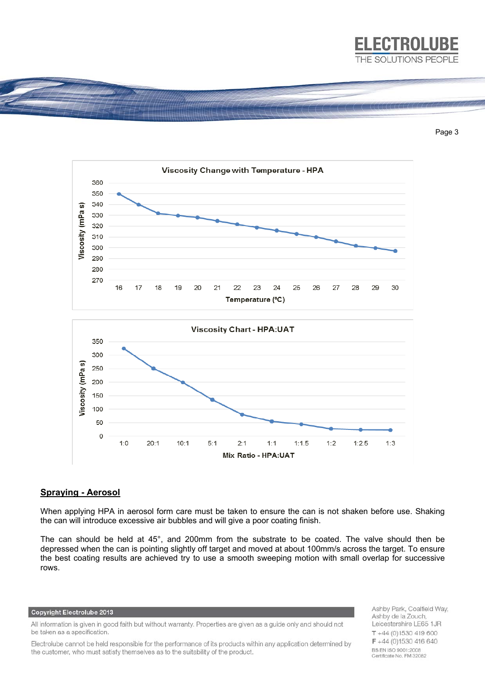

#### Page 3



# **Spraying - Aerosol**

When applying HPA in aerosol form care must be taken to ensure the can is not shaken before use. Shaking the can will introduce excessive air bubbles and will give a poor coating finish.

The can should be held at 45°, and 200mm from the substrate to be coated. The valve should then be depressed when the can is pointing slightly off target and moved at about 100mm/s across the target. To ensure the best coating results are achieved try to use a smooth sweeping motion with small overlap for successive rows.

#### Copyright Electrolube 2013

All information is given in good faith but without warranty. Properties are given as a guide only and should not be taken as a specification.

Electrolube cannot be held responsible for the performance of its products within any application determined by the customer, who must satisfy themselves as to the suitability of the product.

Ashby Park, Coalfield Way, Ashby de la Zouch, Leicestershire LE65 1JR  $T + 44(0)1530419600$ F +44 (0)1530 416 640 BS EN ISO 9001:2008 Certificate No. FM 32082